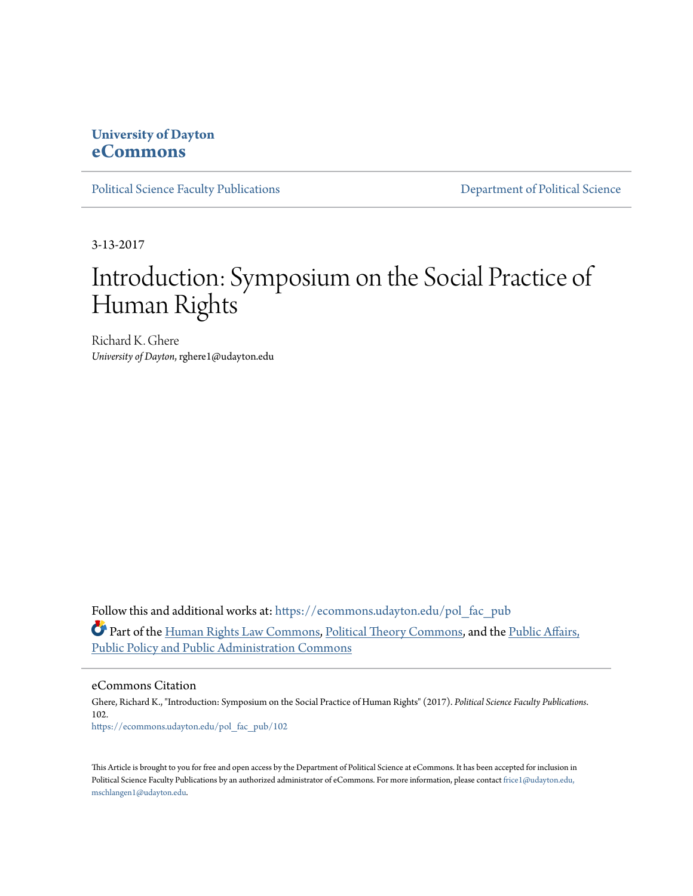## **University of Dayton [eCommons](https://ecommons.udayton.edu?utm_source=ecommons.udayton.edu%2Fpol_fac_pub%2F102&utm_medium=PDF&utm_campaign=PDFCoverPages)**

[Political Science Faculty Publications](https://ecommons.udayton.edu/pol_fac_pub?utm_source=ecommons.udayton.edu%2Fpol_fac_pub%2F102&utm_medium=PDF&utm_campaign=PDFCoverPages) [Department of Political Science](https://ecommons.udayton.edu/pol?utm_source=ecommons.udayton.edu%2Fpol_fac_pub%2F102&utm_medium=PDF&utm_campaign=PDFCoverPages)

3-13-2017

## Introduction: Symposium on the Social Practice of Human Rights

Richard K. Ghere *University of Dayton*, rghere1@udayton.edu

Follow this and additional works at: [https://ecommons.udayton.edu/pol\\_fac\\_pub](https://ecommons.udayton.edu/pol_fac_pub?utm_source=ecommons.udayton.edu%2Fpol_fac_pub%2F102&utm_medium=PDF&utm_campaign=PDFCoverPages) Part of the [Human Rights Law Commons,](http://network.bepress.com/hgg/discipline/847?utm_source=ecommons.udayton.edu%2Fpol_fac_pub%2F102&utm_medium=PDF&utm_campaign=PDFCoverPages) [Political Theory Commons,](http://network.bepress.com/hgg/discipline/391?utm_source=ecommons.udayton.edu%2Fpol_fac_pub%2F102&utm_medium=PDF&utm_campaign=PDFCoverPages) and the [Public Affairs,](http://network.bepress.com/hgg/discipline/393?utm_source=ecommons.udayton.edu%2Fpol_fac_pub%2F102&utm_medium=PDF&utm_campaign=PDFCoverPages) [Public Policy and Public Administration Commons](http://network.bepress.com/hgg/discipline/393?utm_source=ecommons.udayton.edu%2Fpol_fac_pub%2F102&utm_medium=PDF&utm_campaign=PDFCoverPages)

eCommons Citation

Ghere, Richard K., "Introduction: Symposium on the Social Practice of Human Rights" (2017). *Political Science Faculty Publications*. 102. [https://ecommons.udayton.edu/pol\\_fac\\_pub/102](https://ecommons.udayton.edu/pol_fac_pub/102?utm_source=ecommons.udayton.edu%2Fpol_fac_pub%2F102&utm_medium=PDF&utm_campaign=PDFCoverPages)

This Article is brought to you for free and open access by the Department of Political Science at eCommons. It has been accepted for inclusion in Political Science Faculty Publications by an authorized administrator of eCommons. For more information, please contact [frice1@udayton.edu,](mailto:frice1@udayton.edu,%20mschlangen1@udayton.edu) [mschlangen1@udayton.edu.](mailto:frice1@udayton.edu,%20mschlangen1@udayton.edu)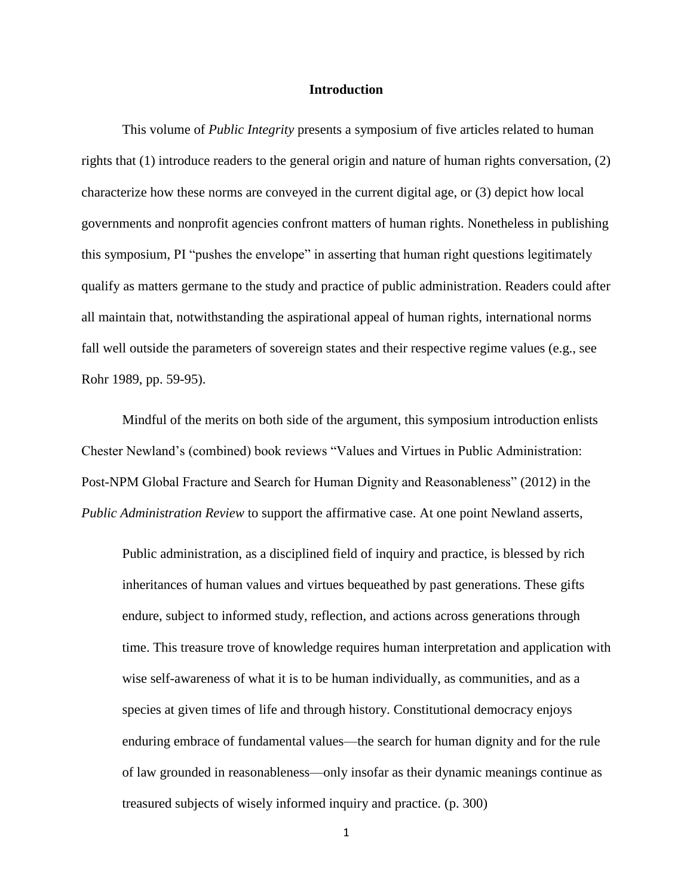## **Introduction**

This volume of *Public Integrity* presents a symposium of five articles related to human rights that (1) introduce readers to the general origin and nature of human rights conversation, (2) characterize how these norms are conveyed in the current digital age, or (3) depict how local governments and nonprofit agencies confront matters of human rights. Nonetheless in publishing this symposium, PI "pushes the envelope" in asserting that human right questions legitimately qualify as matters germane to the study and practice of public administration. Readers could after all maintain that, notwithstanding the aspirational appeal of human rights, international norms fall well outside the parameters of sovereign states and their respective regime values (e.g., see Rohr 1989, pp. 59-95).

Mindful of the merits on both side of the argument, this symposium introduction enlists Chester Newland's (combined) book reviews "Values and Virtues in Public Administration: Post-NPM Global Fracture and Search for Human Dignity and Reasonableness" (2012) in the *Public Administration Review* to support the affirmative case. At one point Newland asserts,

Public administration, as a disciplined field of inquiry and practice, is blessed by rich inheritances of human values and virtues bequeathed by past generations. These gifts endure, subject to informed study, reflection, and actions across generations through time. This treasure trove of knowledge requires human interpretation and application with wise self-awareness of what it is to be human individually, as communities, and as a species at given times of life and through history. Constitutional democracy enjoys enduring embrace of fundamental values—the search for human dignity and for the rule of law grounded in reasonableness—only insofar as their dynamic meanings continue as treasured subjects of wisely informed inquiry and practice. (p. 300)

1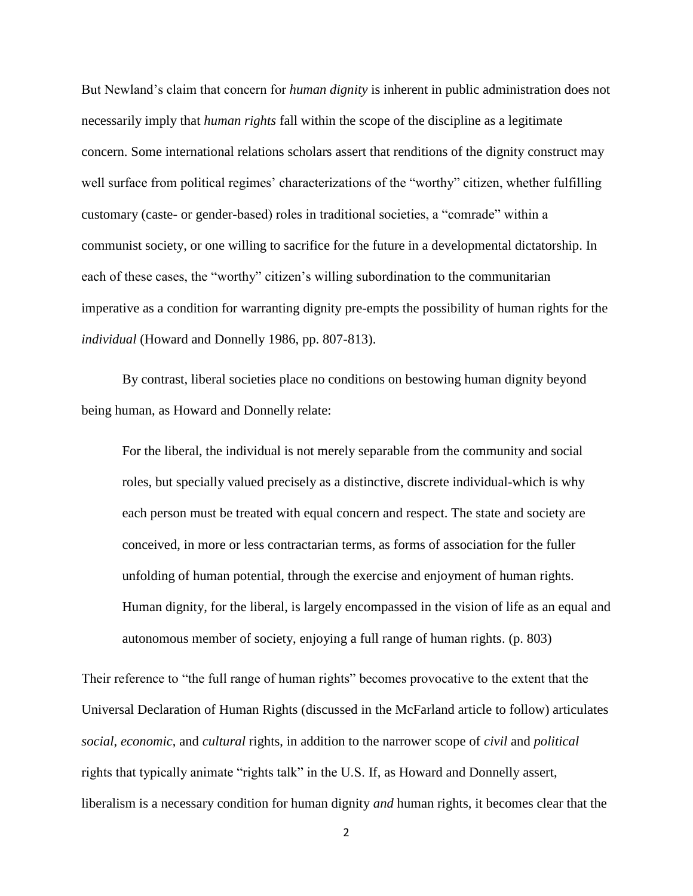But Newland's claim that concern for *human dignity* is inherent in public administration does not necessarily imply that *human rights* fall within the scope of the discipline as a legitimate concern. Some international relations scholars assert that renditions of the dignity construct may well surface from political regimes' characterizations of the "worthy" citizen, whether fulfilling customary (caste- or gender-based) roles in traditional societies, a "comrade" within a communist society, or one willing to sacrifice for the future in a developmental dictatorship. In each of these cases, the "worthy" citizen's willing subordination to the communitarian imperative as a condition for warranting dignity pre-empts the possibility of human rights for the *individual* (Howard and Donnelly 1986, pp. 807-813).

By contrast, liberal societies place no conditions on bestowing human dignity beyond being human, as Howard and Donnelly relate:

For the liberal, the individual is not merely separable from the community and social roles, but specially valued precisely as a distinctive, discrete individual-which is why each person must be treated with equal concern and respect. The state and society are conceived, in more or less contractarian terms, as forms of association for the fuller unfolding of human potential, through the exercise and enjoyment of human rights. Human dignity, for the liberal, is largely encompassed in the vision of life as an equal and autonomous member of society, enjoying a full range of human rights. (p. 803)

Their reference to "the full range of human rights" becomes provocative to the extent that the Universal Declaration of Human Rights (discussed in the McFarland article to follow) articulates *social*, *economic*, and *cultural* rights, in addition to the narrower scope of *civil* and *political*  rights that typically animate "rights talk" in the U.S. If, as Howard and Donnelly assert, liberalism is a necessary condition for human dignity *and* human rights, it becomes clear that the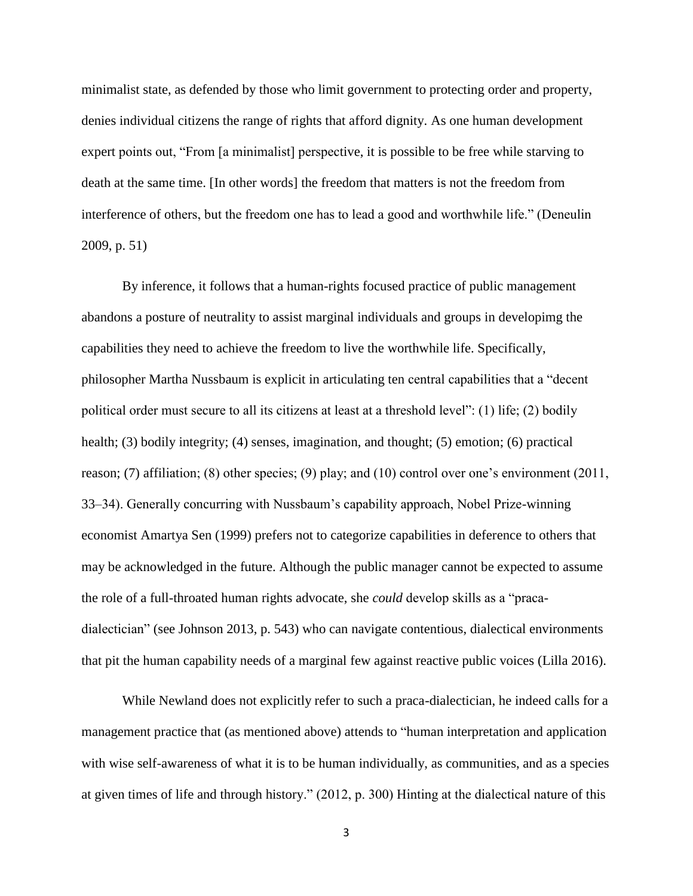minimalist state, as defended by those who limit government to protecting order and property, denies individual citizens the range of rights that afford dignity. As one human development expert points out, "From [a minimalist] perspective, it is possible to be free while starving to death at the same time. [In other words] the freedom that matters is not the freedom from interference of others, but the freedom one has to lead a good and worthwhile life." (Deneulin 2009, p. 51)

By inference, it follows that a human-rights focused practice of public management abandons a posture of neutrality to assist marginal individuals and groups in developimg the capabilities they need to achieve the freedom to live the worthwhile life. Specifically, philosopher Martha Nussbaum is explicit in articulating ten central capabilities that a "decent political order must secure to all its citizens at least at a threshold level": (1) life; (2) bodily health; (3) bodily integrity; (4) senses, imagination, and thought; (5) emotion; (6) practical reason; (7) affiliation; (8) other species; (9) play; and (10) control over one's environment (2011, 33–34). Generally concurring with Nussbaum's capability approach, Nobel Prize-winning economist Amartya Sen (1999) prefers not to categorize capabilities in deference to others that may be acknowledged in the future. Although the public manager cannot be expected to assume the role of a full-throated human rights advocate, she *could* develop skills as a "pracadialectician" (see Johnson 2013, p. 543) who can navigate contentious, dialectical environments that pit the human capability needs of a marginal few against reactive public voices (Lilla 2016).

While Newland does not explicitly refer to such a praca-dialectician, he indeed calls for a management practice that (as mentioned above) attends to "human interpretation and application with wise self-awareness of what it is to be human individually, as communities, and as a species at given times of life and through history." (2012, p. 300) Hinting at the dialectical nature of this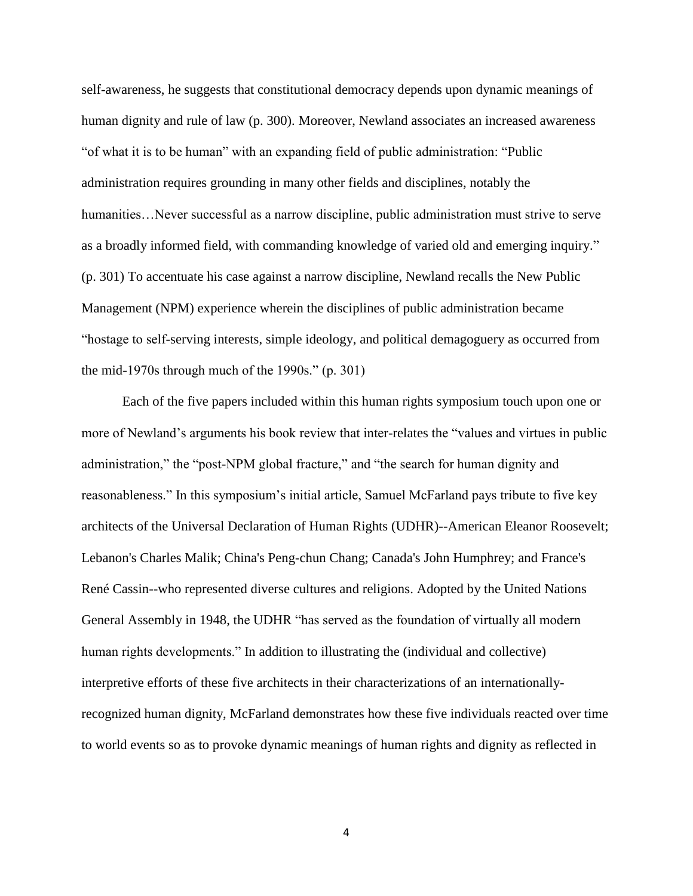self-awareness, he suggests that constitutional democracy depends upon dynamic meanings of human dignity and rule of law (p. 300). Moreover, Newland associates an increased awareness "of what it is to be human" with an expanding field of public administration: "Public administration requires grounding in many other fields and disciplines, notably the humanities...Never successful as a narrow discipline, public administration must strive to serve as a broadly informed field, with commanding knowledge of varied old and emerging inquiry." (p. 301) To accentuate his case against a narrow discipline, Newland recalls the New Public Management (NPM) experience wherein the disciplines of public administration became "hostage to self-serving interests, simple ideology, and political demagoguery as occurred from the mid-1970s through much of the 1990s."  $(p. 301)$ 

Each of the five papers included within this human rights symposium touch upon one or more of Newland's arguments his book review that inter-relates the "values and virtues in public administration," the "post-NPM global fracture," and "the search for human dignity and reasonableness." In this symposium's initial article, Samuel McFarland pays tribute to five key architects of the Universal Declaration of Human Rights (UDHR)--American Eleanor Roosevelt; Lebanon's Charles Malik; China's Peng-chun Chang; Canada's John Humphrey; and France's René Cassin--who represented diverse cultures and religions. Adopted by the United Nations General Assembly in 1948, the UDHR "has served as the foundation of virtually all modern human rights developments." In addition to illustrating the (individual and collective) interpretive efforts of these five architects in their characterizations of an internationallyrecognized human dignity, McFarland demonstrates how these five individuals reacted over time to world events so as to provoke dynamic meanings of human rights and dignity as reflected in

4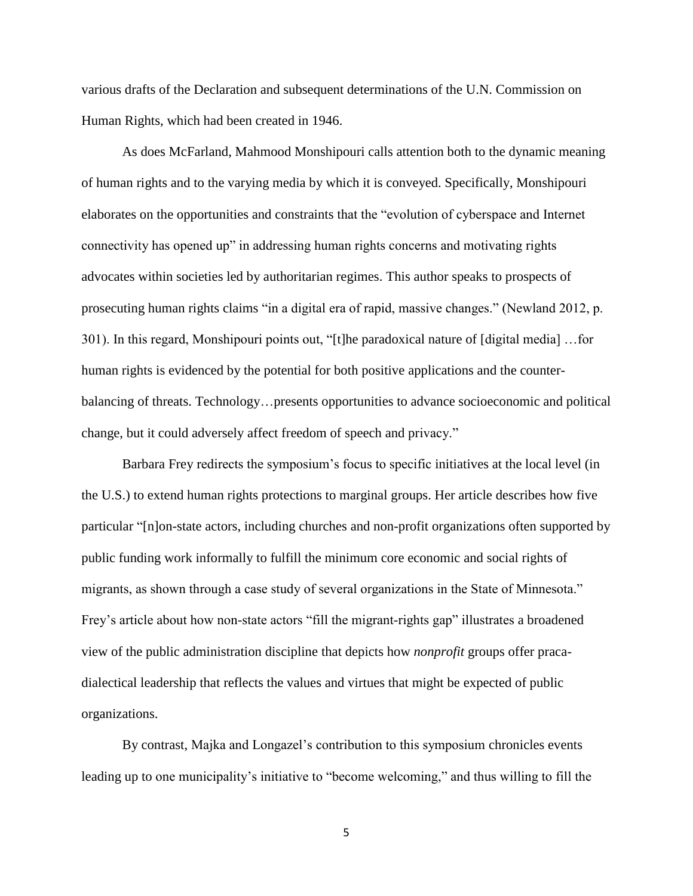various drafts of the Declaration and subsequent determinations of the U.N. Commission on Human Rights, which had been created in 1946.

As does McFarland, Mahmood Monshipouri calls attention both to the dynamic meaning of human rights and to the varying media by which it is conveyed. Specifically, Monshipouri elaborates on the opportunities and constraints that the "evolution of cyberspace and Internet connectivity has opened up" in addressing human rights concerns and motivating rights advocates within societies led by authoritarian regimes. This author speaks to prospects of prosecuting human rights claims "in a digital era of rapid, massive changes." (Newland 2012, p. 301). In this regard, Monshipouri points out, "[t]he paradoxical nature of [digital media] …for human rights is evidenced by the potential for both positive applications and the counterbalancing of threats. Technology…presents opportunities to advance socioeconomic and political change, but it could adversely affect freedom of speech and privacy."

Barbara Frey redirects the symposium's focus to specific initiatives at the local level (in the U.S.) to extend human rights protections to marginal groups. Her article describes how five particular "[n]on-state actors, including churches and non-profit organizations often supported by public funding work informally to fulfill the minimum core economic and social rights of migrants, as shown through a case study of several organizations in the State of Minnesota." Frey's article about how non-state actors "fill the migrant-rights gap" illustrates a broadened view of the public administration discipline that depicts how *nonprofit* groups offer pracadialectical leadership that reflects the values and virtues that might be expected of public organizations.

By contrast, Majka and Longazel's contribution to this symposium chronicles events leading up to one municipality's initiative to "become welcoming," and thus willing to fill the

5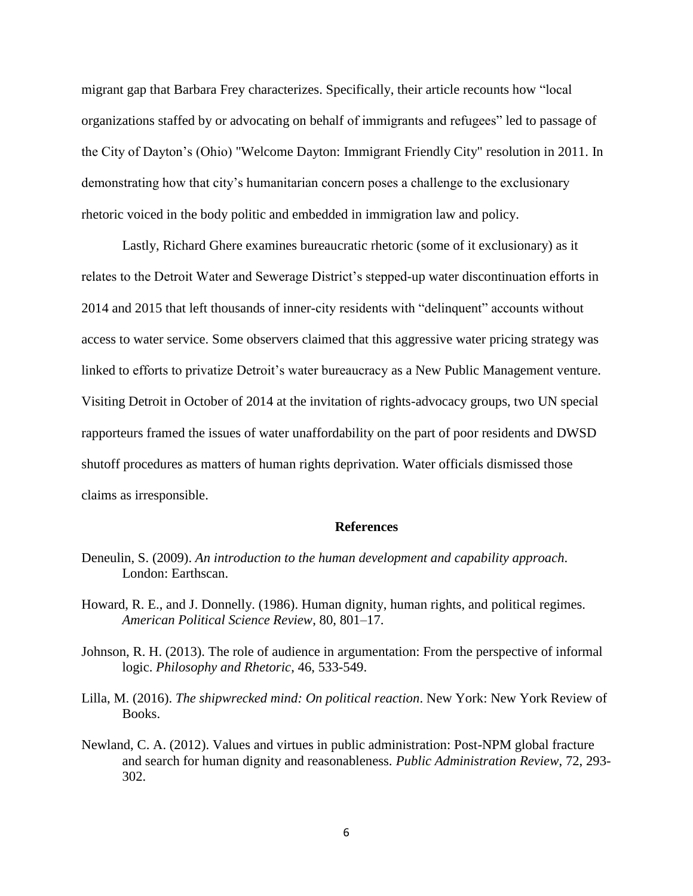migrant gap that Barbara Frey characterizes. Specifically, their article recounts how "local organizations staffed by or advocating on behalf of immigrants and refugees" led to passage of the City of Dayton's (Ohio) "Welcome Dayton: Immigrant Friendly City" resolution in 2011. In demonstrating how that city's humanitarian concern poses a challenge to the exclusionary rhetoric voiced in the body politic and embedded in immigration law and policy.

Lastly, Richard Ghere examines bureaucratic rhetoric (some of it exclusionary) as it relates to the Detroit Water and Sewerage District's stepped-up water discontinuation efforts in 2014 and 2015 that left thousands of inner-city residents with "delinquent" accounts without access to water service. Some observers claimed that this aggressive water pricing strategy was linked to efforts to privatize Detroit's water bureaucracy as a New Public Management venture. Visiting Detroit in October of 2014 at the invitation of rights-advocacy groups, two UN special rapporteurs framed the issues of water unaffordability on the part of poor residents and DWSD shutoff procedures as matters of human rights deprivation. Water officials dismissed those claims as irresponsible.

## **References**

- Deneulin, S. (2009). *An introduction to the human development and capability approach*. London: Earthscan.
- Howard, R. E., and J. Donnelly. (1986). Human dignity, human rights, and political regimes. *American Political Science Review*, 80, 801–17.
- Johnson, R. H. (2013). The role of audience in argumentation: From the perspective of informal logic. *Philosophy and Rhetoric*, 46, 533-549.
- Lilla, M. (2016). *The shipwrecked mind: On political reaction*. New York: New York Review of Books.
- Newland, C. A. (2012). Values and virtues in public administration: Post-NPM global fracture and search for human dignity and reasonableness. *Public Administration Review*, 72, 293- 302.